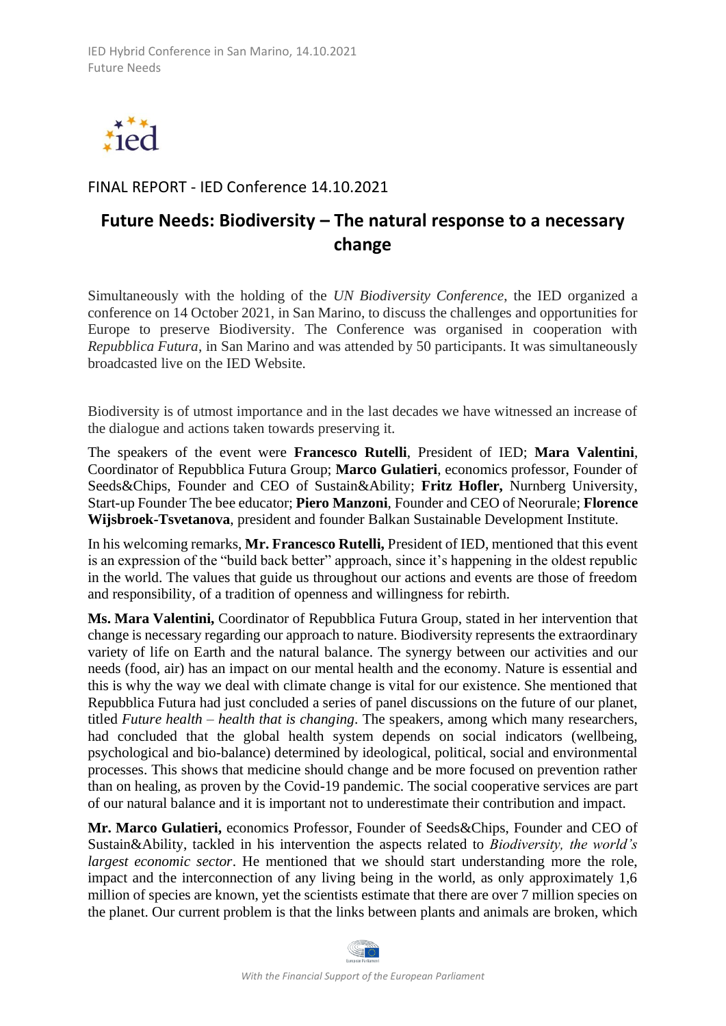

## FINAL REPORT - IED Conference 14.10.2021

## **Future Needs: Biodiversity – The natural response to a necessary change**

Simultaneously with the holding of the *UN Biodiversity Conference*, the IED organized a conference on 14 October 2021, in San Marino, to discuss the challenges and opportunities for Europe to preserve Biodiversity. The Conference was organised in cooperation with *Repubblica Futura*, in San Marino and was attended by 50 participants. It was simultaneously broadcasted live on the IED Website.

Biodiversity is of utmost importance and in the last decades we have witnessed an increase of the dialogue and actions taken towards preserving it.

The speakers of the event were **Francesco Rutelli**, President of IED; **Mara Valentini**, Coordinator of Repubblica Futura Group; **Marco Gulatieri**, economics professor, Founder of Seeds&Chips, Founder and CEO of Sustain&Ability; **Fritz Hofler,** Nurnberg University, Start-up Founder The bee educator; **Piero Manzoni**, Founder and CEO of Neorurale; **Florence Wijsbroek-Tsvetanova**, president and founder Balkan Sustainable Development Institute.

In his welcoming remarks, **Mr. Francesco Rutelli,** President of IED, mentioned that this event is an expression of the "build back better" approach, since it's happening in the oldest republic in the world. The values that guide us throughout our actions and events are those of freedom and responsibility, of a tradition of openness and willingness for rebirth.

**Ms. Mara Valentini,** Coordinator of Repubblica Futura Group, stated in her intervention that change is necessary regarding our approach to nature. Biodiversity represents the extraordinary variety of life on Earth and the natural balance. The synergy between our activities and our needs (food, air) has an impact on our mental health and the economy. Nature is essential and this is why the way we deal with climate change is vital for our existence. She mentioned that Repubblica Futura had just concluded a series of panel discussions on the future of our planet, titled *Future health – health that is changing*. The speakers, among which many researchers, had concluded that the global health system depends on social indicators (wellbeing, psychological and bio-balance) determined by ideological, political, social and environmental processes. This shows that medicine should change and be more focused on prevention rather than on healing, as proven by the Covid-19 pandemic. The social cooperative services are part of our natural balance and it is important not to underestimate their contribution and impact.

**Mr. Marco Gulatieri,** economics Professor, Founder of Seeds&Chips, Founder and CEO of Sustain&Ability, tackled in his intervention the aspects related to *Biodiversity, the world's largest economic sector*. He mentioned that we should start understanding more the role, impact and the interconnection of any living being in the world, as only approximately 1,6 million of species are known, yet the scientists estimate that there are over 7 million species on the planet. Our current problem is that the links between plants and animals are broken, which

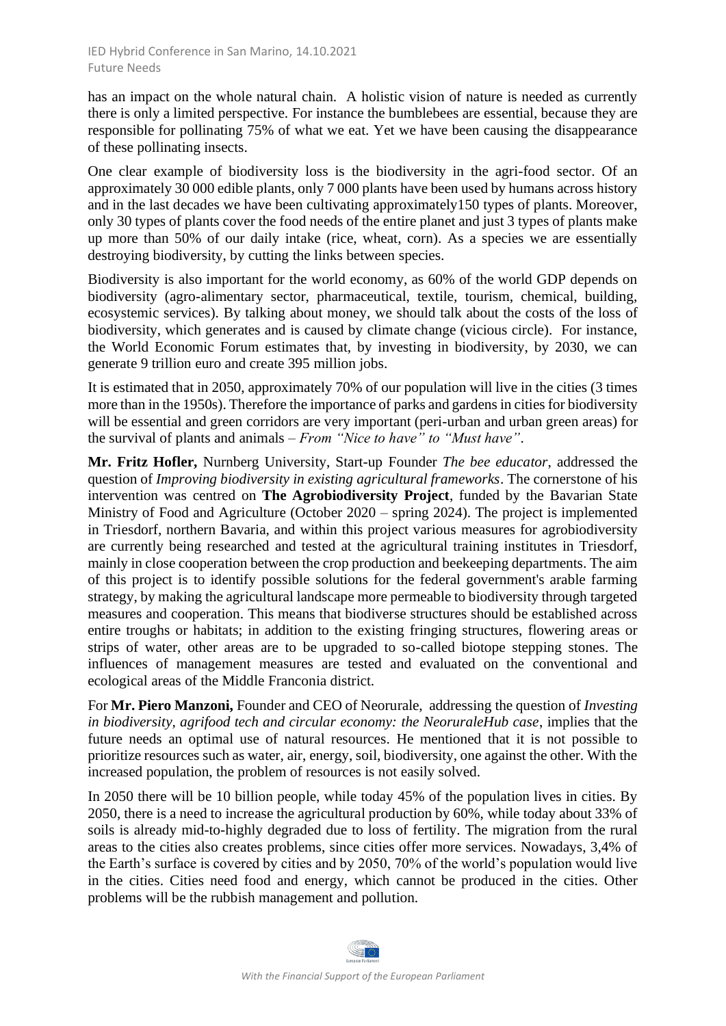has an impact on the whole natural chain. A holistic vision of nature is needed as currently there is only a limited perspective. For instance the bumblebees are essential, because they are responsible for pollinating 75% of what we eat. Yet we have been causing the disappearance of these pollinating insects.

One clear example of biodiversity loss is the biodiversity in the agri-food sector. Of an approximately 30 000 edible plants, only 7 000 plants have been used by humans across history and in the last decades we have been cultivating approximately150 types of plants. Moreover, only 30 types of plants cover the food needs of the entire planet and just 3 types of plants make up more than 50% of our daily intake (rice, wheat, corn). As a species we are essentially destroying biodiversity, by cutting the links between species.

Biodiversity is also important for the world economy, as 60% of the world GDP depends on biodiversity (agro-alimentary sector, pharmaceutical, textile, tourism, chemical, building, ecosystemic services). By talking about money, we should talk about the costs of the loss of biodiversity, which generates and is caused by climate change (vicious circle). For instance, the World Economic Forum estimates that, by investing in biodiversity, by 2030, we can generate 9 trillion euro and create 395 million jobs.

It is estimated that in 2050, approximately 70% of our population will live in the cities (3 times more than in the 1950s). Therefore the importance of parks and gardens in cities for biodiversity will be essential and green corridors are very important (peri-urban and urban green areas) for the survival of plants and animals – *From "Nice to have" to "Must have"*.

**Mr. Fritz Hofler,** Nurnberg University, Start-up Founder *The bee educator*, addressed the question of *Improving biodiversity in existing agricultural frameworks*. The cornerstone of his intervention was centred on **The Agrobiodiversity Project**, funded by the Bavarian State Ministry of Food and Agriculture (October 2020 – spring 2024). The project is implemented in Triesdorf, northern Bavaria, and within this project various measures for agrobiodiversity are currently being researched and tested at the agricultural training institutes in Triesdorf, mainly in close cooperation between the crop production and beekeeping departments. The aim of this project is to identify possible solutions for the federal government's arable farming strategy, by making the agricultural landscape more permeable to biodiversity through targeted measures and cooperation. This means that biodiverse structures should be established across entire troughs or habitats; in addition to the existing fringing structures, flowering areas or strips of water, other areas are to be upgraded to so-called biotope stepping stones. The influences of management measures are tested and evaluated on the conventional and ecological areas of the Middle Franconia district.

For **Mr. Piero Manzoni,** Founder and CEO of Neorurale,addressing the question of *Investing in biodiversity, agrifood tech and circular economy: the NeoruraleHub case*, implies that the future needs an optimal use of natural resources. He mentioned that it is not possible to prioritize resources such as water, air, energy, soil, biodiversity, one against the other. With the increased population, the problem of resources is not easily solved.

In 2050 there will be 10 billion people, while today 45% of the population lives in cities. By 2050, there is a need to increase the agricultural production by 60%, while today about 33% of soils is already mid-to-highly degraded due to loss of fertility. The migration from the rural areas to the cities also creates problems, since cities offer more services. Nowadays, 3,4% of the Earth's surface is covered by cities and by 2050, 70% of the world's population would live in the cities. Cities need food and energy, which cannot be produced in the cities. Other problems will be the rubbish management and pollution.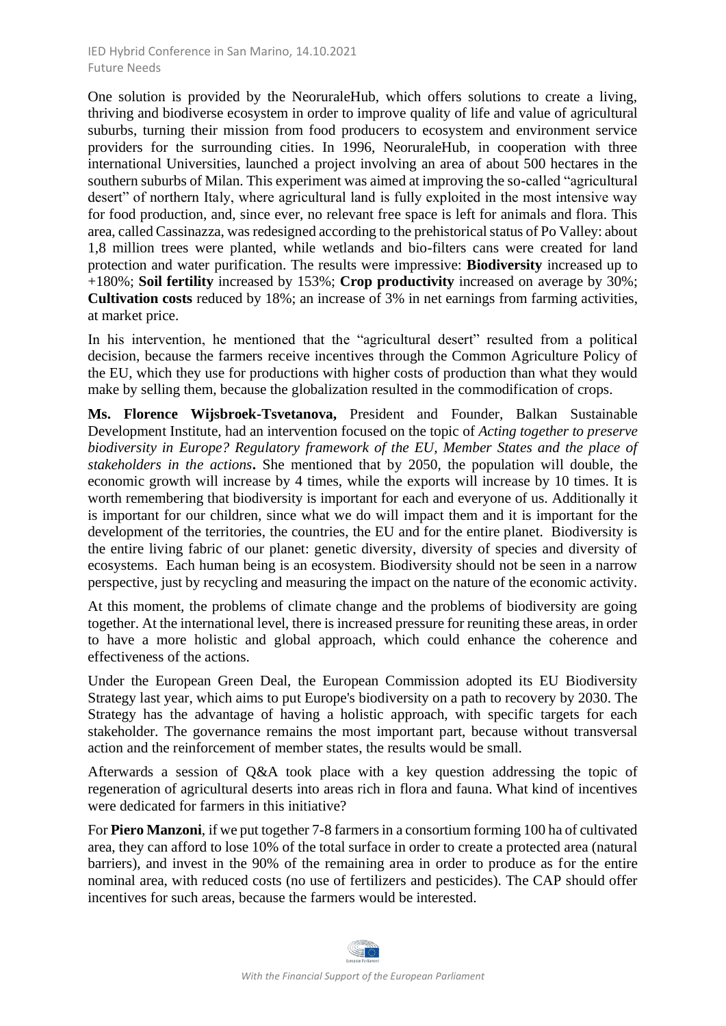## IED Hybrid Conference in San Marino, 14.10.2021 Future Needs

One solution is provided by the NeoruraleHub, which offers solutions to create a living, thriving and biodiverse ecosystem in order to improve quality of life and value of agricultural suburbs, turning their mission from food producers to ecosystem and environment service providers for the surrounding cities. In 1996, NeoruraleHub, in cooperation with three international Universities, launched a project involving an area of about 500 hectares in the southern suburbs of Milan. This experiment was aimed at improving the so-called "agricultural desert" of northern Italy, where agricultural land is fully exploited in the most intensive way for food production, and, since ever, no relevant free space is left for animals and flora. This area, called Cassinazza, was redesigned according to the prehistorical status of Po Valley: about 1,8 million trees were planted, while wetlands and bio-filters cans were created for land protection and water purification. The results were impressive: **Biodiversity** increased up to +180%; **Soil fertility** increased by 153%; **Crop productivity** increased on average by 30%; **Cultivation costs** reduced by 18%; an increase of 3% in net earnings from farming activities, at market price.

In his intervention, he mentioned that the "agricultural desert" resulted from a political decision, because the farmers receive incentives through the Common Agriculture Policy of the EU, which they use for productions with higher costs of production than what they would make by selling them, because the globalization resulted in the commodification of crops.

**Ms. Florence Wijsbroek-Tsvetanova,** President and Founder, Balkan Sustainable Development Institute, had an intervention focused on the topic of *Acting together to preserve biodiversity in Europe? Regulatory framework of the EU, Member States and the place of stakeholders in the actions***.** She mentioned that by 2050, the population will double, the economic growth will increase by 4 times, while the exports will increase by 10 times. It is worth remembering that biodiversity is important for each and everyone of us. Additionally it is important for our children, since what we do will impact them and it is important for the development of the territories, the countries, the EU and for the entire planet. Biodiversity is the entire living fabric of our planet: genetic diversity, diversity of species and diversity of ecosystems. Each human being is an ecosystem. Biodiversity should not be seen in a narrow perspective, just by recycling and measuring the impact on the nature of the economic activity.

At this moment, the problems of climate change and the problems of biodiversity are going together. At the international level, there is increased pressure for reuniting these areas, in order to have a more holistic and global approach, which could enhance the coherence and effectiveness of the actions.

Under the European Green Deal, the European Commission adopted its EU Biodiversity Strategy last year, which aims to put Europe's biodiversity on a path to recovery by 2030. The Strategy has the advantage of having a holistic approach, with specific targets for each stakeholder. The governance remains the most important part, because without transversal action and the reinforcement of member states, the results would be small.

Afterwards a session of Q&A took place with a key question addressing the topic of regeneration of agricultural deserts into areas rich in flora and fauna. What kind of incentives were dedicated for farmers in this initiative?

For **Piero Manzoni**, if we put together 7-8 farmers in a consortium forming 100 ha of cultivated area, they can afford to lose 10% of the total surface in order to create a protected area (natural barriers), and invest in the 90% of the remaining area in order to produce as for the entire nominal area, with reduced costs (no use of fertilizers and pesticides). The CAP should offer incentives for such areas, because the farmers would be interested.